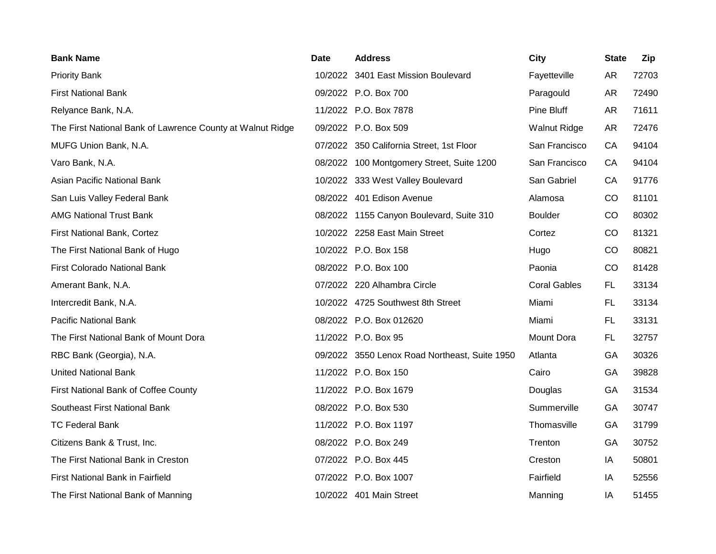| <b>Bank Name</b>                                           | Date | <b>Address</b>                                | City                | <b>State</b> | Zip   |
|------------------------------------------------------------|------|-----------------------------------------------|---------------------|--------------|-------|
| <b>Priority Bank</b>                                       |      | 10/2022 3401 East Mission Boulevard           | Fayetteville        | <b>AR</b>    | 72703 |
| <b>First National Bank</b>                                 |      | 09/2022 P.O. Box 700                          | Paragould           | <b>AR</b>    | 72490 |
| Relyance Bank, N.A.                                        |      | 11/2022 P.O. Box 7878                         | Pine Bluff          | <b>AR</b>    | 71611 |
| The First National Bank of Lawrence County at Walnut Ridge |      | 09/2022 P.O. Box 509                          | <b>Walnut Ridge</b> | <b>AR</b>    | 72476 |
| MUFG Union Bank, N.A.                                      |      | 07/2022 350 California Street, 1st Floor      | San Francisco       | CA           | 94104 |
| Varo Bank, N.A.                                            |      | 08/2022 100 Montgomery Street, Suite 1200     | San Francisco       | CA           | 94104 |
| Asian Pacific National Bank                                |      | 10/2022 333 West Valley Boulevard             | San Gabriel         | CA           | 91776 |
| San Luis Valley Federal Bank                               |      | 08/2022 401 Edison Avenue                     | Alamosa             | CO           | 81101 |
| <b>AMG National Trust Bank</b>                             |      | 08/2022 1155 Canyon Boulevard, Suite 310      | <b>Boulder</b>      | CO           | 80302 |
| First National Bank, Cortez                                |      | 10/2022 2258 East Main Street                 | Cortez              | CO           | 81321 |
| The First National Bank of Hugo                            |      | 10/2022 P.O. Box 158                          | Hugo                | CO           | 80821 |
| <b>First Colorado National Bank</b>                        |      | 08/2022 P.O. Box 100                          | Paonia              | CO           | 81428 |
| Amerant Bank, N.A.                                         |      | 07/2022 220 Alhambra Circle                   | <b>Coral Gables</b> | FL.          | 33134 |
| Intercredit Bank, N.A.                                     |      | 10/2022 4725 Southwest 8th Street             | Miami               | FL.          | 33134 |
| <b>Pacific National Bank</b>                               |      | 08/2022 P.O. Box 012620                       | Miami               | FL.          | 33131 |
| The First National Bank of Mount Dora                      |      | 11/2022 P.O. Box 95                           | Mount Dora          | FL.          | 32757 |
| RBC Bank (Georgia), N.A.                                   |      | 09/2022 3550 Lenox Road Northeast, Suite 1950 | Atlanta             | GA           | 30326 |
| United National Bank                                       |      | 11/2022 P.O. Box 150                          | Cairo               | GA           | 39828 |
| First National Bank of Coffee County                       |      | 11/2022 P.O. Box 1679                         | Douglas             | GA           | 31534 |
| Southeast First National Bank                              |      | 08/2022 P.O. Box 530                          | Summerville         | GA           | 30747 |
| <b>TC Federal Bank</b>                                     |      | 11/2022 P.O. Box 1197                         | Thomasville         | GA           | 31799 |
| Citizens Bank & Trust, Inc.                                |      | 08/2022 P.O. Box 249                          | Trenton             | GA           | 30752 |
| The First National Bank in Creston                         |      | 07/2022 P.O. Box 445                          | Creston             | IA           | 50801 |
| First National Bank in Fairfield                           |      | 07/2022 P.O. Box 1007                         | Fairfield           | ΙA           | 52556 |
| The First National Bank of Manning                         |      | 10/2022 401 Main Street                       | Manning             | IA           | 51455 |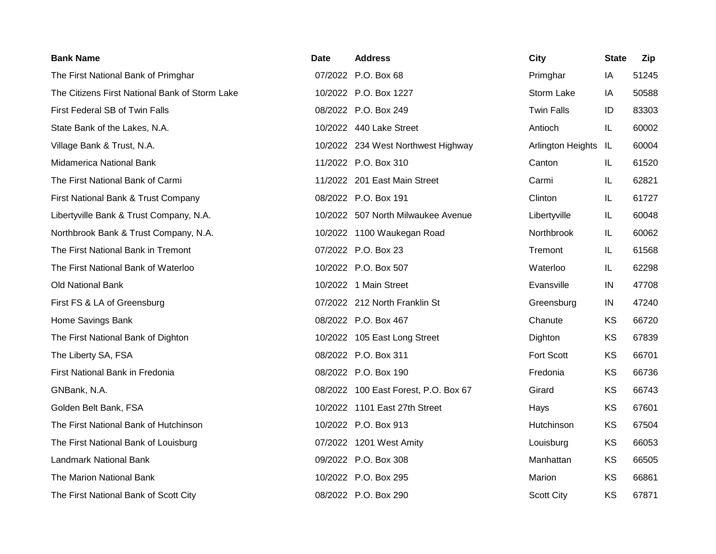| <b>Bank Name</b>                               | Date | <b>Address</b>                       | <b>City</b>       | <b>State</b> | Zip   |
|------------------------------------------------|------|--------------------------------------|-------------------|--------------|-------|
| The First National Bank of Primghar            |      | 07/2022 P.O. Box 68                  | Primghar          | IA           | 51245 |
| The Citizens First National Bank of Storm Lake |      | 10/2022 P.O. Box 1227                | Storm Lake        | IA           | 50588 |
| First Federal SB of Twin Falls                 |      | 08/2022 P.O. Box 249                 | <b>Twin Falls</b> | ID           | 83303 |
| State Bank of the Lakes, N.A.                  |      | 10/2022 440 Lake Street              | Antioch           | IL           | 60002 |
| Village Bank & Trust, N.A.                     |      | 10/2022 234 West Northwest Highway   | Arlington Heights | IL           | 60004 |
| Midamerica National Bank                       |      | 11/2022 P.O. Box 310                 | Canton            | IL           | 61520 |
| The First National Bank of Carmi               |      | 11/2022 201 East Main Street         | Carmi             | IL           | 62821 |
| First National Bank & Trust Company            |      | 08/2022 P.O. Box 191                 | Clinton           | IL           | 61727 |
| Libertyville Bank & Trust Company, N.A.        |      | 10/2022 507 North Milwaukee Avenue   | Libertyville      | IL           | 60048 |
| Northbrook Bank & Trust Company, N.A.          |      | 10/2022 1100 Waukegan Road           | Northbrook        | IL           | 60062 |
| The First National Bank in Tremont             |      | 07/2022 P.O. Box 23                  | Tremont           | IL           | 61568 |
| The First National Bank of Waterloo            |      | 10/2022 P.O. Box 507                 | Waterloo          | IL           | 62298 |
| Old National Bank                              |      | 10/2022 1 Main Street                | Evansville        | IN           | 47708 |
| First FS & LA of Greensburg                    |      | 07/2022 212 North Franklin St        | Greensburg        | IN           | 47240 |
| Home Savings Bank                              |      | 08/2022 P.O. Box 467                 | Chanute           | <b>KS</b>    | 66720 |
| The First National Bank of Dighton             |      | 10/2022 105 East Long Street         | Dighton           | KS           | 67839 |
| The Liberty SA, FSA                            |      | 08/2022 P.O. Box 311                 | Fort Scott        | <b>KS</b>    | 66701 |
| First National Bank in Fredonia                |      | 08/2022 P.O. Box 190                 | Fredonia          | KS           | 66736 |
| GNBank, N.A.                                   |      | 08/2022 100 East Forest, P.O. Box 67 | Girard            | KS           | 66743 |
| Golden Belt Bank, FSA                          |      | 10/2022 1101 East 27th Street        | Hays              | KS           | 67601 |
| The First National Bank of Hutchinson          |      | 10/2022 P.O. Box 913                 | Hutchinson        | KS           | 67504 |
| The First National Bank of Louisburg           |      | 07/2022 1201 West Amity              | Louisburg         | KS           | 66053 |
| <b>Landmark National Bank</b>                  |      | 09/2022 P.O. Box 308                 | Manhattan         | KS           | 66505 |
| The Marion National Bank                       |      | 10/2022 P.O. Box 295                 | Marion            | KS           | 66861 |
| The First National Bank of Scott City          |      | 08/2022 P.O. Box 290                 | <b>Scott City</b> | KS           | 67871 |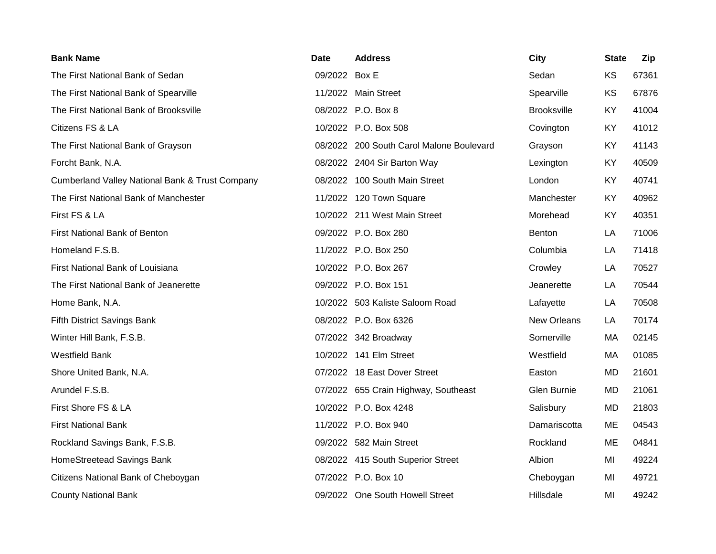| <b>Bank Name</b>                                           | <b>Date</b>   | <b>Address</b>                           | City               | <b>State</b> | Zip   |
|------------------------------------------------------------|---------------|------------------------------------------|--------------------|--------------|-------|
| The First National Bank of Sedan                           | 09/2022 Box E |                                          | Sedan              | KS           | 67361 |
| The First National Bank of Spearville                      |               | 11/2022 Main Street                      | Spearville         | KS           | 67876 |
| The First National Bank of Brooksville                     |               | 08/2022 P.O. Box 8                       | <b>Brooksville</b> | KY           | 41004 |
| Citizens FS & LA                                           |               | 10/2022 P.O. Box 508                     | Covington          | KY           | 41012 |
| The First National Bank of Grayson                         |               | 08/2022 200 South Carol Malone Boulevard | Grayson            | KY           | 41143 |
| Forcht Bank, N.A.                                          |               | 08/2022 2404 Sir Barton Way              | Lexington          | KY           | 40509 |
| <b>Cumberland Valley National Bank &amp; Trust Company</b> |               | 08/2022 100 South Main Street            | London             | KY           | 40741 |
| The First National Bank of Manchester                      |               | 11/2022 120 Town Square                  | Manchester         | KY           | 40962 |
| First FS & LA                                              |               | 10/2022 211 West Main Street             | Morehead           | KY           | 40351 |
| First National Bank of Benton                              |               | 09/2022 P.O. Box 280                     | Benton             | LA           | 71006 |
| Homeland F.S.B.                                            |               | 11/2022 P.O. Box 250                     | Columbia           | LA           | 71418 |
| First National Bank of Louisiana                           |               | 10/2022 P.O. Box 267                     | Crowley            | LA           | 70527 |
| The First National Bank of Jeanerette                      |               | 09/2022 P.O. Box 151                     | Jeanerette         | LA           | 70544 |
| Home Bank, N.A.                                            |               | 10/2022 503 Kaliste Saloom Road          | Lafayette          | LA           | 70508 |
| Fifth District Savings Bank                                |               | 08/2022 P.O. Box 6326                    | New Orleans        | LA           | 70174 |
| Winter Hill Bank, F.S.B.                                   |               | 07/2022 342 Broadway                     | Somerville         | MA           | 02145 |
| <b>Westfield Bank</b>                                      |               | 10/2022 141 Elm Street                   | Westfield          | MA           | 01085 |
| Shore United Bank, N.A.                                    |               | 07/2022 18 East Dover Street             | Easton             | MD           | 21601 |
| Arundel F.S.B.                                             |               | 07/2022 655 Crain Highway, Southeast     | Glen Burnie        | <b>MD</b>    | 21061 |
| First Shore FS & LA                                        |               | 10/2022 P.O. Box 4248                    | Salisbury          | MD           | 21803 |
| <b>First National Bank</b>                                 |               | 11/2022 P.O. Box 940                     | Damariscotta       | ME           | 04543 |
| Rockland Savings Bank, F.S.B.                              |               | 09/2022 582 Main Street                  | Rockland           | ME           | 04841 |
| HomeStreetead Savings Bank                                 |               | 08/2022 415 South Superior Street        | Albion             | MI           | 49224 |
| Citizens National Bank of Cheboygan                        |               | 07/2022 P.O. Box 10                      | Cheboygan          | MI           | 49721 |
| <b>County National Bank</b>                                |               | 09/2022 One South Howell Street          | Hillsdale          | MI           | 49242 |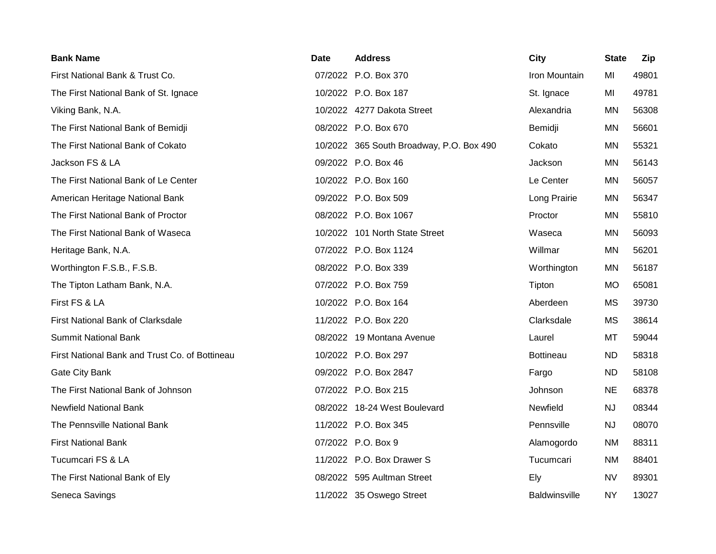| <b>Bank Name</b>                               | Date | <b>Address</b>                           | <b>City</b>          | <b>State</b> | Zip   |
|------------------------------------------------|------|------------------------------------------|----------------------|--------------|-------|
| First National Bank & Trust Co.                |      | 07/2022 P.O. Box 370                     | Iron Mountain        | MI           | 49801 |
| The First National Bank of St. Ignace          |      | 10/2022 P.O. Box 187                     | St. Ignace           | MI           | 49781 |
| Viking Bank, N.A.                              |      | 10/2022 4277 Dakota Street               | Alexandria           | <b>MN</b>    | 56308 |
| The First National Bank of Bemidji             |      | 08/2022 P.O. Box 670                     | Bemidji              | <b>MN</b>    | 56601 |
| The First National Bank of Cokato              |      | 10/2022 365 South Broadway, P.O. Box 490 | Cokato               | MN           | 55321 |
| Jackson FS & LA                                |      | 09/2022 P.O. Box 46                      | Jackson              | <b>MN</b>    | 56143 |
| The First National Bank of Le Center           |      | 10/2022 P.O. Box 160                     | Le Center            | MN           | 56057 |
| American Heritage National Bank                |      | 09/2022 P.O. Box 509                     | Long Prairie         | <b>MN</b>    | 56347 |
| The First National Bank of Proctor             |      | 08/2022 P.O. Box 1067                    | Proctor              | MN           | 55810 |
| The First National Bank of Waseca              |      | 10/2022 101 North State Street           | Waseca               | <b>MN</b>    | 56093 |
| Heritage Bank, N.A.                            |      | 07/2022 P.O. Box 1124                    | Willmar              | <b>MN</b>    | 56201 |
| Worthington F.S.B., F.S.B.                     |      | 08/2022 P.O. Box 339                     | Worthington          | <b>MN</b>    | 56187 |
| The Tipton Latham Bank, N.A.                   |      | 07/2022 P.O. Box 759                     | Tipton               | <b>MO</b>    | 65081 |
| First FS & LA                                  |      | 10/2022 P.O. Box 164                     | Aberdeen             | <b>MS</b>    | 39730 |
| First National Bank of Clarksdale              |      | 11/2022 P.O. Box 220                     | Clarksdale           | <b>MS</b>    | 38614 |
| <b>Summit National Bank</b>                    |      | 08/2022 19 Montana Avenue                | Laurel               | MT           | 59044 |
| First National Bank and Trust Co. of Bottineau |      | 10/2022 P.O. Box 297                     | <b>Bottineau</b>     | <b>ND</b>    | 58318 |
| Gate City Bank                                 |      | 09/2022 P.O. Box 2847                    | Fargo                | <b>ND</b>    | 58108 |
| The First National Bank of Johnson             |      | 07/2022 P.O. Box 215                     | Johnson              | <b>NE</b>    | 68378 |
| <b>Newfield National Bank</b>                  |      | 08/2022 18-24 West Boulevard             | Newfield             | NJ           | 08344 |
| The Pennsville National Bank                   |      | 11/2022 P.O. Box 345                     | Pennsville           | NJ           | 08070 |
| <b>First National Bank</b>                     |      | 07/2022 P.O. Box 9                       | Alamogordo           | <b>NM</b>    | 88311 |
| Tucumcari FS & LA                              |      | 11/2022 P.O. Box Drawer S                | Tucumcari            | <b>NM</b>    | 88401 |
| The First National Bank of Ely                 |      | 08/2022 595 Aultman Street               | Ely                  | <b>NV</b>    | 89301 |
| Seneca Savings                                 |      | 11/2022 35 Oswego Street                 | <b>Baldwinsville</b> | <b>NY</b>    | 13027 |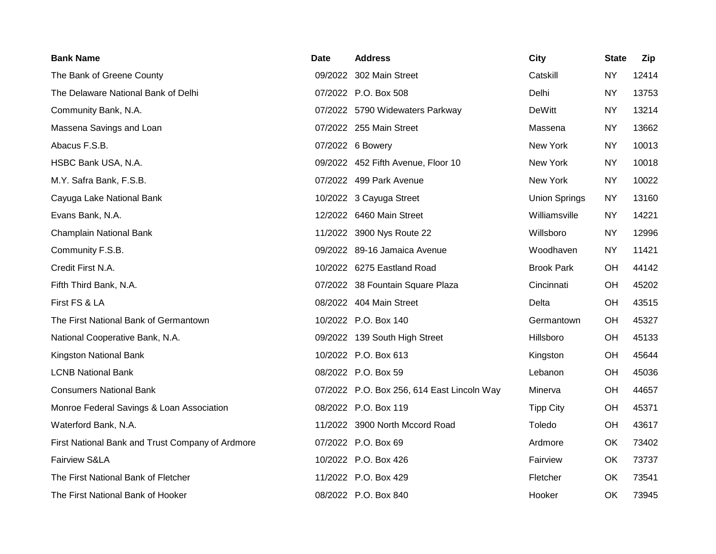| <b>Bank Name</b>                                 | Date | <b>Address</b>                             | City                 | <b>State</b> | Zip   |
|--------------------------------------------------|------|--------------------------------------------|----------------------|--------------|-------|
| The Bank of Greene County                        |      | 09/2022 302 Main Street                    | Catskill             | <b>NY</b>    | 12414 |
| The Delaware National Bank of Delhi              |      | 07/2022 P.O. Box 508                       | Delhi                | <b>NY</b>    | 13753 |
| Community Bank, N.A.                             |      | 07/2022 5790 Widewaters Parkway            | <b>DeWitt</b>        | <b>NY</b>    | 13214 |
| Massena Savings and Loan                         |      | 07/2022 255 Main Street                    | Massena              | <b>NY</b>    | 13662 |
| Abacus F.S.B.                                    |      | 07/2022 6 Bowery                           | New York             | <b>NY</b>    | 10013 |
| HSBC Bank USA, N.A.                              |      | 09/2022 452 Fifth Avenue, Floor 10         | New York             | <b>NY</b>    | 10018 |
| M.Y. Safra Bank, F.S.B.                          |      | 07/2022 499 Park Avenue                    | New York             | <b>NY</b>    | 10022 |
| Cayuga Lake National Bank                        |      | 10/2022 3 Cayuga Street                    | <b>Union Springs</b> | <b>NY</b>    | 13160 |
| Evans Bank, N.A.                                 |      | 12/2022 6460 Main Street                   | Williamsville        | <b>NY</b>    | 14221 |
| Champlain National Bank                          |      | 11/2022 3900 Nys Route 22                  | Willsboro            | <b>NY</b>    | 12996 |
| Community F.S.B.                                 |      | 09/2022 89-16 Jamaica Avenue               | Woodhaven            | <b>NY</b>    | 11421 |
| Credit First N.A.                                |      | 10/2022 6275 Eastland Road                 | <b>Brook Park</b>    | OH           | 44142 |
| Fifth Third Bank, N.A.                           |      | 07/2022 38 Fountain Square Plaza           | Cincinnati           | OH           | 45202 |
| First FS & LA                                    |      | 08/2022 404 Main Street                    | Delta                | OH           | 43515 |
| The First National Bank of Germantown            |      | 10/2022 P.O. Box 140                       | Germantown           | OH           | 45327 |
| National Cooperative Bank, N.A.                  |      | 09/2022 139 South High Street              | Hillsboro            | OH           | 45133 |
| Kingston National Bank                           |      | 10/2022 P.O. Box 613                       | Kingston             | OH           | 45644 |
| <b>LCNB National Bank</b>                        |      | 08/2022 P.O. Box 59                        | Lebanon              | OH           | 45036 |
| <b>Consumers National Bank</b>                   |      | 07/2022 P.O. Box 256, 614 East Lincoln Way | Minerva              | OH           | 44657 |
| Monroe Federal Savings & Loan Association        |      | 08/2022 P.O. Box 119                       | <b>Tipp City</b>     | OH           | 45371 |
| Waterford Bank, N.A.                             |      | 11/2022 3900 North Mccord Road             | Toledo               | OH           | 43617 |
| First National Bank and Trust Company of Ardmore |      | 07/2022 P.O. Box 69                        | Ardmore              | OK           | 73402 |
| Fairview S&LA                                    |      | 10/2022 P.O. Box 426                       | Fairview             | OK           | 73737 |
| The First National Bank of Fletcher              |      | 11/2022 P.O. Box 429                       | Fletcher             | OK.          | 73541 |
| The First National Bank of Hooker                |      | 08/2022 P.O. Box 840                       | Hooker               | OK           | 73945 |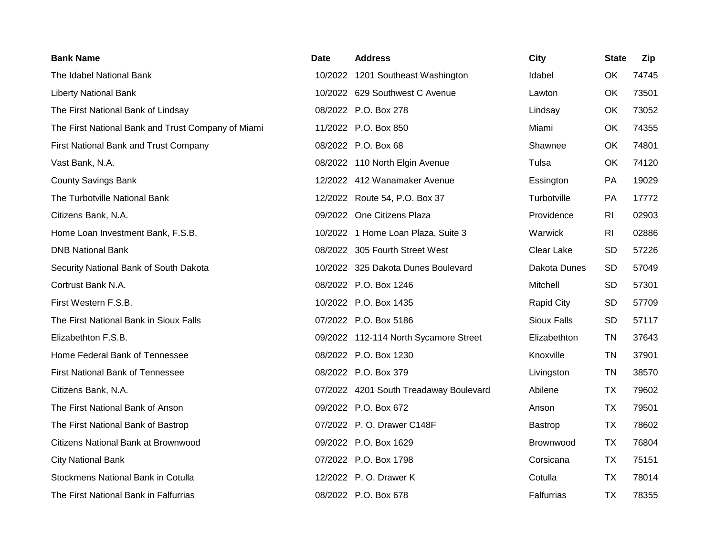| <b>Bank Name</b>                                   | Date | <b>Address</b>                         | <b>City</b>        | <b>State</b> | Zip   |
|----------------------------------------------------|------|----------------------------------------|--------------------|--------------|-------|
| The Idabel National Bank                           |      | 10/2022 1201 Southeast Washington      | Idabel             | OK           | 74745 |
| <b>Liberty National Bank</b>                       |      | 10/2022 629 Southwest C Avenue         | Lawton             | OK           | 73501 |
| The First National Bank of Lindsay                 |      | 08/2022 P.O. Box 278                   | Lindsay            | OK           | 73052 |
| The First National Bank and Trust Company of Miami |      | 11/2022 P.O. Box 850                   | Miami              | OK           | 74355 |
| First National Bank and Trust Company              |      | 08/2022 P.O. Box 68                    | Shawnee            | OK           | 74801 |
| Vast Bank, N.A.                                    |      | 08/2022 110 North Elgin Avenue         | Tulsa              | OK           | 74120 |
| <b>County Savings Bank</b>                         |      | 12/2022 412 Wanamaker Avenue           | Essington          | PA           | 19029 |
| The Turbotville National Bank                      |      | 12/2022 Route 54, P.O. Box 37          | Turbotville        | <b>PA</b>    | 17772 |
| Citizens Bank, N.A.                                |      | 09/2022 One Citizens Plaza             | Providence         | <b>RI</b>    | 02903 |
| Home Loan Investment Bank, F.S.B.                  |      | 10/2022 1 Home Loan Plaza, Suite 3     | Warwick            | <b>RI</b>    | 02886 |
| <b>DNB National Bank</b>                           |      | 08/2022 305 Fourth Street West         | Clear Lake         | <b>SD</b>    | 57226 |
| Security National Bank of South Dakota             |      | 10/2022 325 Dakota Dunes Boulevard     | Dakota Dunes       | <b>SD</b>    | 57049 |
| Cortrust Bank N.A.                                 |      | 08/2022 P.O. Box 1246                  | Mitchell           | <b>SD</b>    | 57301 |
| First Western F.S.B.                               |      | 10/2022 P.O. Box 1435                  | <b>Rapid City</b>  | <b>SD</b>    | 57709 |
| The First National Bank in Sioux Falls             |      | 07/2022 P.O. Box 5186                  | <b>Sioux Falls</b> | <b>SD</b>    | 57117 |
| Elizabethton F.S.B.                                |      | 09/2022 112-114 North Sycamore Street  | Elizabethton       | <b>TN</b>    | 37643 |
| Home Federal Bank of Tennessee                     |      | 08/2022 P.O. Box 1230                  | Knoxville          | <b>TN</b>    | 37901 |
| <b>First National Bank of Tennessee</b>            |      | 08/2022 P.O. Box 379                   | Livingston         | <b>TN</b>    | 38570 |
| Citizens Bank, N.A.                                |      | 07/2022 4201 South Treadaway Boulevard | Abilene            | <b>TX</b>    | 79602 |
| The First National Bank of Anson                   |      | 09/2022 P.O. Box 672                   | Anson              | TX           | 79501 |
| The First National Bank of Bastrop                 |      | 07/2022 P.O. Drawer C148F              | <b>Bastrop</b>     | <b>TX</b>    | 78602 |
| Citizens National Bank at Brownwood                |      | 09/2022 P.O. Box 1629                  | Brownwood          | <b>TX</b>    | 76804 |
| <b>City National Bank</b>                          |      | 07/2022 P.O. Box 1798                  | Corsicana          | TX           | 75151 |
| Stockmens National Bank in Cotulla                 |      | 12/2022 P.O. Drawer K                  | Cotulla            | <b>TX</b>    | 78014 |
| The First National Bank in Falfurrias              |      | 08/2022 P.O. Box 678                   | <b>Falfurrias</b>  | <b>TX</b>    | 78355 |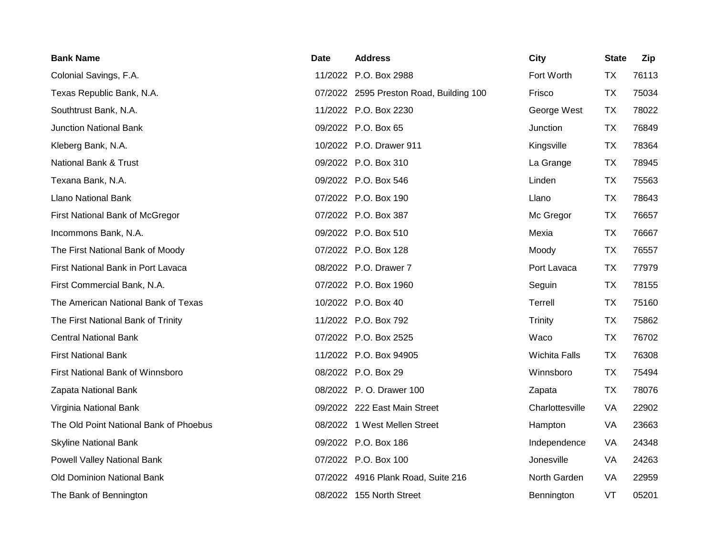| <b>Bank Name</b>                       | Date | <b>Address</b>                          | <b>City</b>          | <b>State</b> | Zip   |
|----------------------------------------|------|-----------------------------------------|----------------------|--------------|-------|
| Colonial Savings, F.A.                 |      | 11/2022 P.O. Box 2988                   | Fort Worth           | <b>TX</b>    | 76113 |
| Texas Republic Bank, N.A.              |      | 07/2022 2595 Preston Road, Building 100 | Frisco               | <b>TX</b>    | 75034 |
| Southtrust Bank, N.A.                  |      | 11/2022 P.O. Box 2230                   | George West          | TX           | 78022 |
| <b>Junction National Bank</b>          |      | 09/2022 P.O. Box 65                     | Junction             | <b>TX</b>    | 76849 |
| Kleberg Bank, N.A.                     |      | 10/2022 P.O. Drawer 911                 | Kingsville           | <b>TX</b>    | 78364 |
| National Bank & Trust                  |      | 09/2022 P.O. Box 310                    | La Grange            | <b>TX</b>    | 78945 |
| Texana Bank, N.A.                      |      | 09/2022 P.O. Box 546                    | Linden               | <b>TX</b>    | 75563 |
| <b>Llano National Bank</b>             |      | 07/2022 P.O. Box 190                    | Llano                | <b>TX</b>    | 78643 |
| First National Bank of McGregor        |      | 07/2022 P.O. Box 387                    | Mc Gregor            | <b>TX</b>    | 76657 |
| Incommons Bank, N.A.                   |      | 09/2022 P.O. Box 510                    | Mexia                | <b>TX</b>    | 76667 |
| The First National Bank of Moody       |      | 07/2022 P.O. Box 128                    | Moody                | <b>TX</b>    | 76557 |
| First National Bank in Port Lavaca     |      | 08/2022 P.O. Drawer 7                   | Port Lavaca          | <b>TX</b>    | 77979 |
| First Commercial Bank, N.A.            |      | 07/2022 P.O. Box 1960                   | Seguin               | <b>TX</b>    | 78155 |
| The American National Bank of Texas    |      | 10/2022 P.O. Box 40                     | Terrell              | <b>TX</b>    | 75160 |
| The First National Bank of Trinity     |      | 11/2022 P.O. Box 792                    | Trinity              | <b>TX</b>    | 75862 |
| <b>Central National Bank</b>           |      | 07/2022 P.O. Box 2525                   | Waco                 | <b>TX</b>    | 76702 |
| <b>First National Bank</b>             |      | 11/2022 P.O. Box 94905                  | <b>Wichita Falls</b> | <b>TX</b>    | 76308 |
| First National Bank of Winnsboro       |      | 08/2022 P.O. Box 29                     | Winnsboro            | <b>TX</b>    | 75494 |
| Zapata National Bank                   |      | 08/2022 P.O. Drawer 100                 | Zapata               | <b>TX</b>    | 78076 |
| Virginia National Bank                 |      | 09/2022 222 East Main Street            | Charlottesville      | VA           | 22902 |
| The Old Point National Bank of Phoebus |      | 08/2022 1 West Mellen Street            | Hampton              | VA           | 23663 |
| <b>Skyline National Bank</b>           |      | 09/2022 P.O. Box 186                    | Independence         | VA           | 24348 |
| Powell Valley National Bank            |      | 07/2022 P.O. Box 100                    | Jonesville           | VA           | 24263 |
| Old Dominion National Bank             |      | 07/2022 4916 Plank Road, Suite 216      | North Garden         | VA           | 22959 |
| The Bank of Bennington                 |      | 08/2022 155 North Street                | Bennington           | VT           | 05201 |